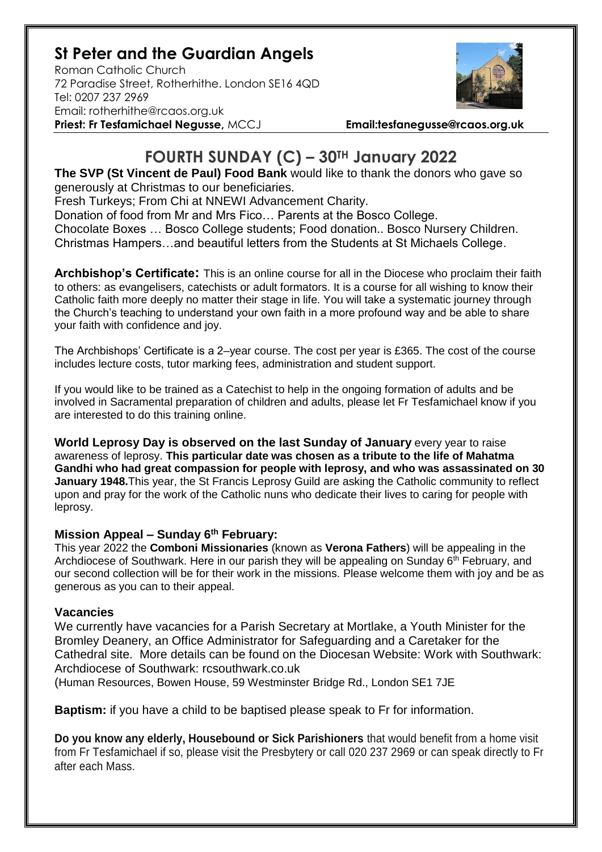## **St Peter and the Guardian Angels**

Roman Catholic Church 72 Paradise Street, Rotherhithe. London SE16 4QD [Tel: 0207](tel:0207) 237 2969 Email: rotherhithe@rcaos.org.uk **Priest: Fr Tesfamichael Negusse,** MCCJ **Email:tesfanegusse@rcaos.org.uk**



## **FOURTH SUNDAY (C) – 30TH January 2022**

**The SVP (St Vincent de Paul) Food Bank** would like to thank the donors who gave so generously at Christmas to our beneficiaries.

Fresh Turkeys; From Chi at NNEWI Advancement Charity.

Donation of food from Mr and Mrs Fico… Parents at the Bosco College. Chocolate Boxes … Bosco College students; Food donation.. Bosco Nursery Children.

Christmas Hampers…and beautiful letters from the Students at St Michaels College.

**Archbishop's Certificate:** This is an online course for all in the Diocese who proclaim their faith to others: as evangelisers, catechists or adult formators. It is a course for all wishing to know their Catholic faith more deeply no matter their stage in life. You will take a systematic journey through the Church's teaching to understand your own faith in a more profound way and be able to share your faith with confidence and joy.

The Archbishops' Certificate is a 2–year course. The cost per year is £365. The cost of the course includes lecture costs, tutor marking fees, administration and student support.

If you would like to be trained as a Catechist to help in the ongoing formation of adults and be involved in Sacramental preparation of children and adults, please let Fr Tesfamichael know if you are interested to do this training online.

**World Leprosy Day is observed on the last Sunday of January** every year to raise awareness of leprosy. **This particular date was chosen as a tribute to the life of Mahatma Gandhi who had great compassion for people with leprosy, and who was assassinated on 30 January 1948.**This year, the St Francis Leprosy Guild are asking the Catholic community to reflect upon and pray for the work of the Catholic nuns who dedicate their lives to caring for people with leprosy.

## **Mission Appeal – Sunday 6th February:**

This year 2022 the **Comboni Missionaries** (known as **Verona Fathers**) will be appealing in the Archdiocese of Southwark. Here in our parish they will be appealing on Sunday 6<sup>th</sup> February, and our second collection will be for their work in the missions. Please welcome them with joy and be as generous as you can to their appeal.

## **Vacancies**

We currently have vacancies for a Parish Secretary at Mortlake, a Youth Minister for the Bromley Deanery, an Office Administrator for Safeguarding and a Caretaker for the Cathedral site. More details can be found on the Diocesan Website: Work with Southwark: Archdiocese of Southwark: rcsouthwark.co.uk

(Human Resources, Bowen House, 59 Westminster Bridge Rd., London SE1 7JE

**Baptism:** if you have a child to be baptised please speak to Fr for information.

**Do you know any elderly, Housebound or Sick Parishioners** that would benefit from a home visit from Fr Tesfamichael if so, please visit the Presbytery or call 020 237 2969 or can speak directly to Fr after each Mass.